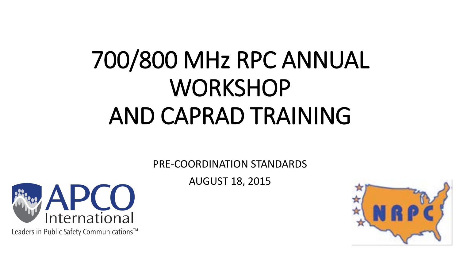# 700/800 MHz RPC ANNUAL **WORKSHOP** AND CAPRAD TRAINING

PRE-COORDINATION STANDARDS

AUGUST 18, 2015



Leaders in Public Safety Communications™

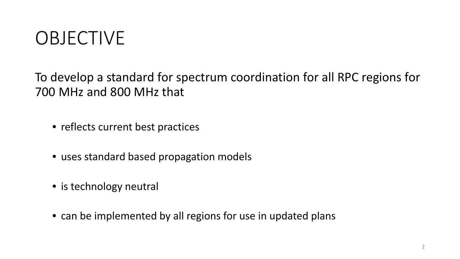### OBJECTIVE

To develop a standard for spectrum coordination for all RPC regions for 700 MHz and 800 MHz that

- reflects current best practices
- uses standard based propagation models
- is technology neutral
- can be implemented by all regions for use in updated plans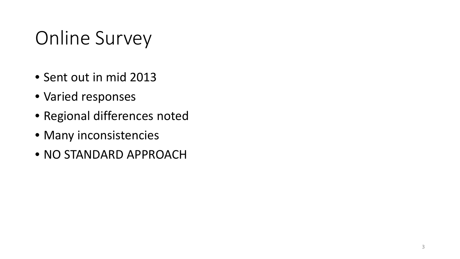### Online Survey

- Sent out in mid 2013
- Varied responses
- Regional differences noted
- Many inconsistencies
- NO STANDARD APPROACH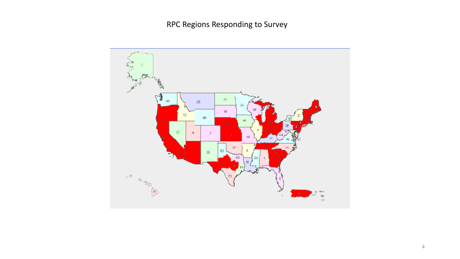RPC Regions Responding to Survey

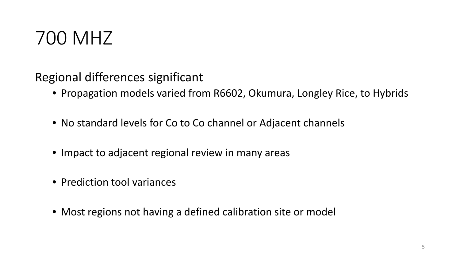

Regional differences significant

- Propagation models varied from R6602, Okumura, Longley Rice, to Hybrids
- No standard levels for Co to Co channel or Adjacent channels
- Impact to adjacent regional review in many areas
- Prediction tool variances
- Most regions not having a defined calibration site or model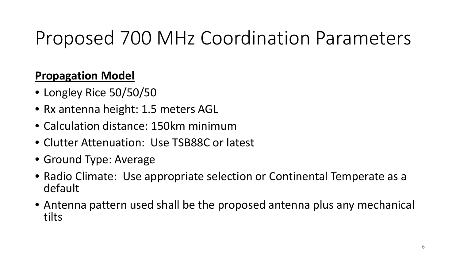#### **Propagation Model**

- Longley Rice 50/50/50
- Rx antenna height: 1.5 meters AGL
- Calculation distance: 150km minimum
- Clutter Attenuation: Use TSB88C or latest
- Ground Type: Average
- Radio Climate: Use appropriate selection or Continental Temperate as a default
- Antenna pattern used shall be the proposed antenna plus any mechanical tilts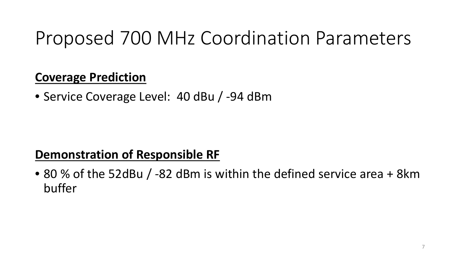#### **Coverage Prediction**

• Service Coverage Level: 40 dBu / -94 dBm

### **Demonstration of Responsible RF**

• 80 % of the 52dBu / -82 dBm is within the defined service area + 8km buffer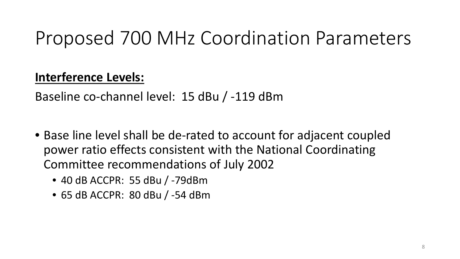#### **Interference Levels:**

Baseline co-channel level: 15 dBu / -119 dBm

- Base line level shall be de-rated to account for adjacent coupled power ratio effects consistent with the National Coordinating Committee recommendations of July 2002
	- 40 dB ACCPR: 55 dBu / -79dBm
	- 65 dB ACCPR: 80 dBu / -54 dBm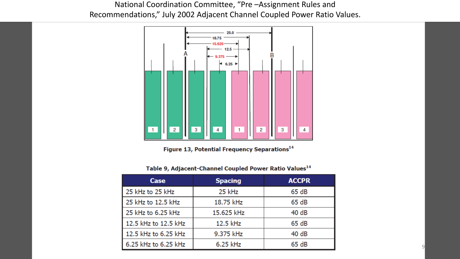#### National Coordination Committee, "Pre –Assignment Rules and Recommendations," July 2002 Adjacent Channel Coupled Power Ratio Values.



Figure 13, Potential Frequency Separations<sup>14</sup>

| Table 9, Adjacent-Channel Coupled Power Ratio Values <sup>14</sup> |  |  |
|--------------------------------------------------------------------|--|--|
|--------------------------------------------------------------------|--|--|

| Case                 | <b>Spacing</b> | <b>ACCPR</b> |
|----------------------|----------------|--------------|
| 25 kHz to 25 kHz     | 25 kHz         | 65 dB        |
| 25 kHz to 12.5 kHz   | 18.75 kHz      | 65 dB        |
| $25$ kHz to 6.25 kHz | 15.625 kHz     | 40 dB        |
| 12.5 kHz to 12.5 kHz | 12.5 kHz       | 65 dB        |
| 12.5 kHz to 6.25 kHz | 9.375 kHz      | 40 dB        |
| 6.25 kHz to 6.25 kHz | 6.25 kHz       | 65 dB        |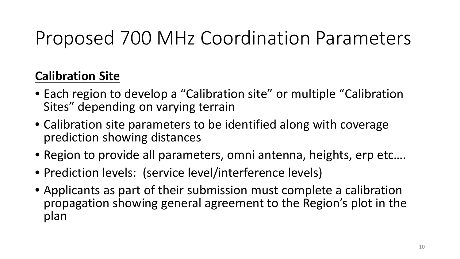#### **Calibration Site**

- Each region to develop a "Calibration site" or multiple "Calibration Sites" depending on varying terrain
- Calibration site parameters to be identified along with coverage prediction showing distances
- Region to provide all parameters, omni antenna, heights, erp etc….
- Prediction levels: (service level/interference levels)
- Applicants as part of their submission must complete a calibration propagation showing general agreement to the Region's plot in the plan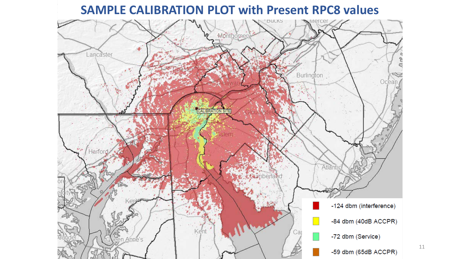#### **SAMPLE CALIBRATION PLOT with Present RPC8 values**



11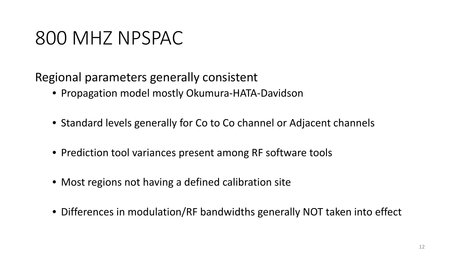### 800 MHZ NPSPAC

Regional parameters generally consistent

- Propagation model mostly Okumura-HATA-Davidson
- Standard levels generally for Co to Co channel or Adjacent channels
- Prediction tool variances present among RF software tools
- Most regions not having a defined calibration site
- Differences in modulation/RF bandwidths generally NOT taken into effect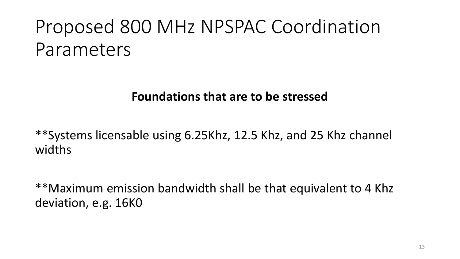#### **Foundations that are to be stressed**

\*\*Systems licensable using 6.25Khz, 12.5 Khz, and 25 Khz channel widths

\*\*Maximum emission bandwidth shall be that equivalent to 4 Khz deviation, e.g. 16K0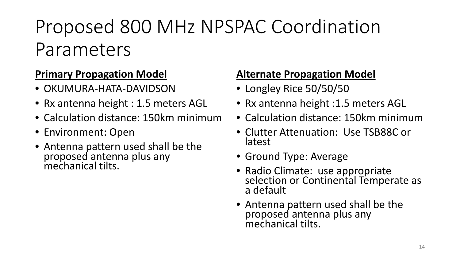#### **Primary Propagation Model**

- OKUMURA-HATA-DAVIDSON
- Rx antenna height : 1.5 meters AGL
- Calculation distance: 150km minimum
- Environment: Open
- Antenna pattern used shall be the proposed antenna plus any mechanical tilts.

#### **Alternate Propagation Model**

- Longley Rice 50/50/50
- Rx antenna height :1.5 meters AGL
- Calculation distance: 150km minimum
- Clutter Attenuation: Use TSB88C or latest
- Ground Type: Average
- Radio Climate: use appropriate<br>selection or Continental Temperate as a default
- Antenna pattern used shall be the proposed antenna plus any mechanical tilts.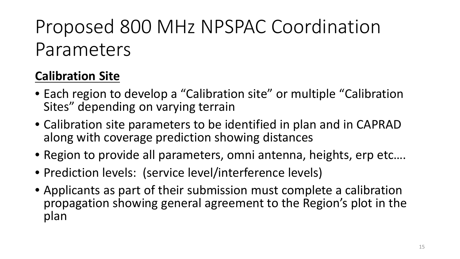### **Calibration Site**

- Each region to develop a "Calibration site" or multiple "Calibration Sites" depending on varying terrain
- Calibration site parameters to be identified in plan and in CAPRAD along with coverage prediction showing distances
- Region to provide all parameters, omni antenna, heights, erp etc….
- Prediction levels: (service level/interference levels)
- Applicants as part of their submission must complete a calibration propagation showing general agreement to the Region's plot in the plan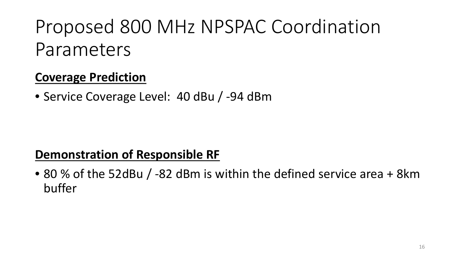#### **Coverage Prediction**

• Service Coverage Level: 40 dBu / -94 dBm

#### **Demonstration of Responsible RF**

• 80 % of the 52dBu / -82 dBm is within the defined service area + 8km buffer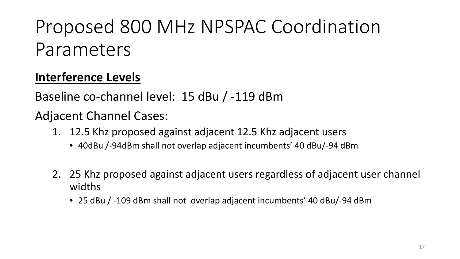### **Interference Levels**

Baseline co-channel level: 15 dBu / -119 dBm

Adjacent Channel Cases:

- 1. 12.5 Khz proposed against adjacent 12.5 Khz adjacent users
	- 40dBu /-94dBm shall not overlap adjacent incumbents' 40 dBu/-94 dBm
- 2. 25 Khz proposed against adjacent users regardless of adjacent user channel widths
	- 25 dBu / -109 dBm shall not overlap adjacent incumbents' 40 dBu/-94 dBm